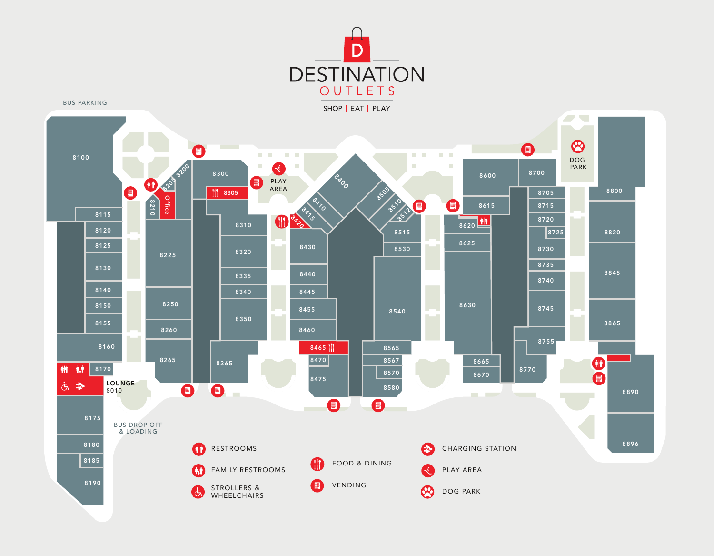

BUS PARKING